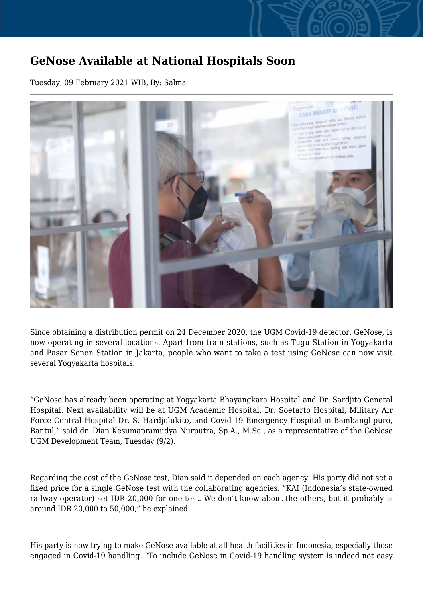## **GeNose Available at National Hospitals Soon**

Tuesday, 09 February 2021 WIB, By: Salma



Since obtaining a distribution permit on 24 December 2020, the UGM Covid-19 detector, GeNose, is now operating in several locations. Apart from train stations, such as Tugu Station in Yogyakarta and Pasar Senen Station in Jakarta, people who want to take a test using GeNose can now visit several Yogyakarta hospitals.

"GeNose has already been operating at Yogyakarta Bhayangkara Hospital and Dr. Sardjito General Hospital. Next availability will be at UGM Academic Hospital, Dr. Soetarto Hospital, Military Air Force Central Hospital Dr. S. Hardjolukito, and Covid-19 Emergency Hospital in Bambanglipuro, Bantul," said dr. Dian Kesumapramudya Nurputra, Sp.A., M.Sc., as a representative of the GeNose UGM Development Team, Tuesday (9/2).

Regarding the cost of the GeNose test, Dian said it depended on each agency. His party did not set a fixed price for a single GeNose test with the collaborating agencies. "KAI (Indonesia's state-owned railway operator) set IDR 20,000 for one test. We don't know about the others, but it probably is around IDR 20,000 to 50,000," he explained.

His party is now trying to make GeNose available at all health facilities in Indonesia, especially those engaged in Covid-19 handling. "To include GeNose in Covid-19 handling system is indeed not easy